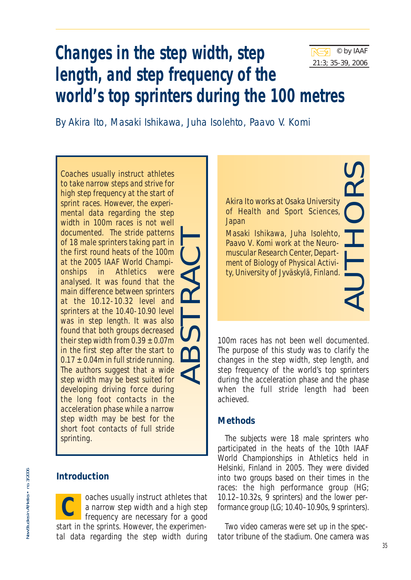

AUTHORS

# **Changes in the step width, step length, and step frequency of the world's top sprinters during the 100 metres**

By Akira Ito, Masaki Ishikawa, Juha Isolehto, Paavo V. Komi

*Coaches usually instruct athletes to take narrow steps and strive for high step frequency at the start of sprint races. However, the experimental data regarding the step width in 100m races is not well documented. The stride patterns of 18 male sprinters taking part in the first round heats of the 100m at the 2005 IAAF World Championships in Athletics were analysed. It was found that the main difference between sprinters at the 10.12-10.32 level and sprinters at the 10.40-10.90 level was in step length. It was also found that both groups decreased their step width from 0.39 ± 0.07m in the first step after the start to 0.17 ± 0.04m in full stride running. The authors suggest that a wide step width may be best suited for developing driving force during the long foot contacts in the acceleration phase while a narrow step width may be best for the short foot contacts of full stride sprinting.* ABSTRACT

## **Introduction**

oaches usually instruct athletes that a narrow step width and a high step frequency are necessary for a good start in the sprints. However, the experimental data regarding the step width during **C**

*Akira Ito works at Osaka University of Health and Sport Sciences, Japan*

*Masaki Ishikawa, Juha Isolehto, Paavo V. Komi work at the Neuromuscular Research Center, Department of Biology of Physical Activity, University of Jyväskylä, Finland.*

100m races has not been well documented. The purpose of this study was to clarify the changes in the step width, step length, and step frequency of the world's top sprinters during the acceleration phase and the phase when the full stride length had been achieved.

# **Methods**

The subjects were 18 male sprinters who participated in the heats of the 10th IAAF World Championships in Athletics held in Helsinki, Finland in 2005. They were divided into two groups based on their times in the races: the high performance group (HG; 10.12–10.32s, 9 sprinters) and the lower performance group (LG; 10.40–10.90s, 9 sprinters).

Two video cameras were set up in the spectator tribune of the stadium. One camera was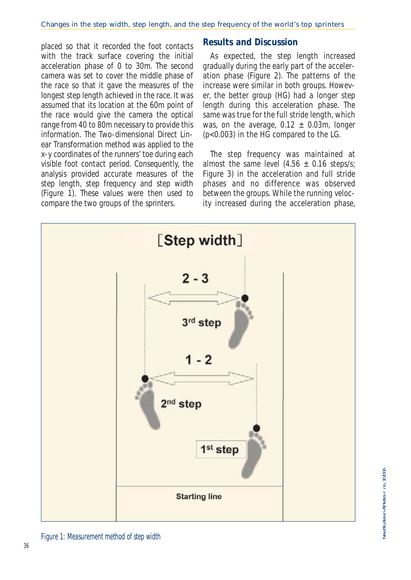placed so that it recorded the foot contacts with the track surface covering the initial acceleration phase of 0 to 30m. The second camera was set to cover the middle phase of the race so that it gave the measures of the longest step length achieved in the race. It was assumed that its location at the 60m point of the race would give the camera the optical range from 40 to 80m necessary to provide this information. The Two-dimensional Direct Linear Transformation method was applied to the x-y coordinates of the runners' toe during each visible foot contact period. Consequently, the analysis provided accurate measures of the step length, step frequency and step width (Figure 1). These values were then used to compare the two groups of the sprinters.

#### **Results and Discussion**

As expected, the step length increased gradually during the early part of the acceleration phase (Figure 2). The patterns of the increase were similar in both groups. However, the better group (HG) had a longer step length during this acceleration phase. The same was true for the full stride length, which was, on the average,  $0.12 \pm 0.03$ m, longer (p<0.003) in the HG compared to the LG.

The step frequency was maintained at almost the same level  $(4.56 \pm 0.16 \text{ steps/s})$ Figure 3) in the acceleration and full stride phases and no difference was observed between the groups. While the running velocity increased during the acceleration phase,



Figure 1: Measurement method of step width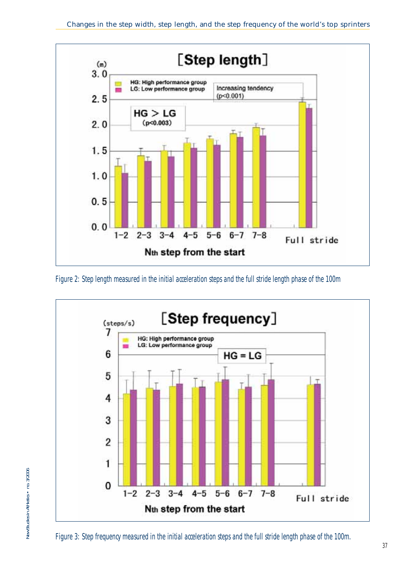





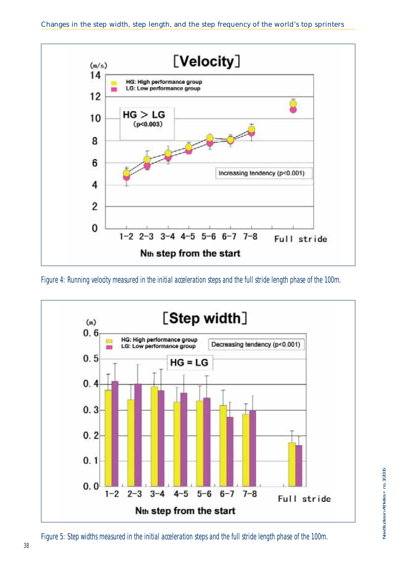

Figure 4: Running velocity measured in the initial acceleration steps and the full stride length phase of the 100m.



Figure 5: Step widths measured in the initial acceleration steps and the full stride length phase of the 100m.